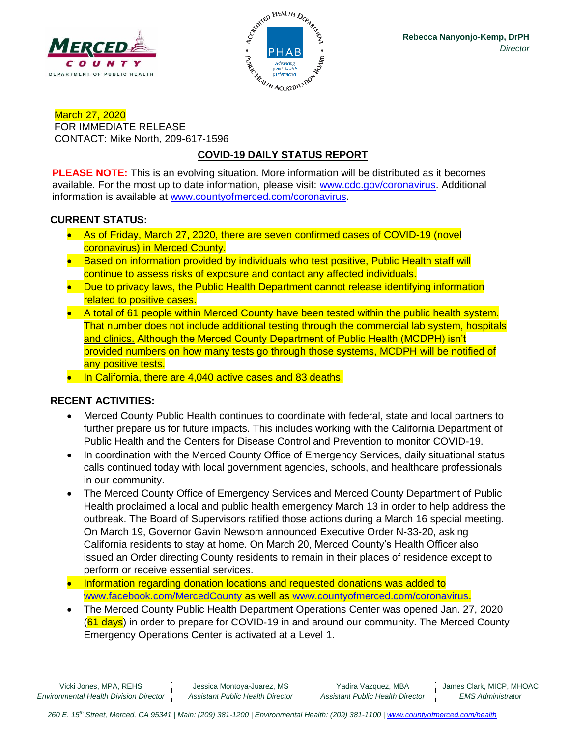



March 27, 2020 FOR IMMEDIATE RELEASE CONTACT: Mike North, 209-617-1596

# **COVID-19 DAILY STATUS REPORT**

**PLEASE NOTE:** This is an evolving situation. More information will be distributed as it becomes available. For the most up to date information, please visit: [www.cdc.gov/coronavirus.](http://www.cdc.gov/coronavirus) Additional information is available at [www.countyofmerced.com/coronavirus.](http://www.countyofmerced.com/coronavirus)

## **CURRENT STATUS:**

- As of Friday, March 27, 2020, there are seven confirmed cases of COVID-19 (novel coronavirus) in Merced County.
- Based on information provided by individuals who test positive, Public Health staff will continue to assess risks of exposure and contact any affected individuals.
- Due to privacy laws, the Public Health Department cannot release identifying information related to positive cases.
- A total of 61 people within Merced County have been tested within the public health system. That number does not include additional testing through the commercial lab system, hospitals and clinics. Although the Merced County Department of Public Health (MCDPH) isn't provided numbers on how many tests go through those systems, MCDPH will be notified of any positive tests.
- In California, there are 4,040 active cases and 83 deaths.

# **RECENT ACTIVITIES:**

- Merced County Public Health continues to coordinate with federal, state and local partners to further prepare us for future impacts. This includes working with the California Department of Public Health and the Centers for Disease Control and Prevention to monitor COVID-19.
- In coordination with the Merced County Office of Emergency Services, daily situational status calls continued today with local government agencies, schools, and healthcare professionals in our community.
- The Merced County Office of Emergency Services and Merced County Department of Public Health proclaimed a local and public health emergency March 13 in order to help address the outbreak. The Board of Supervisors ratified those actions during a March 16 special meeting. On March 19, Governor Gavin Newsom announced Executive Order N-33-20, asking California residents to stay at home. On March 20, Merced County's Health Officer also issued an Order directing County residents to remain in their places of residence except to perform or receive essential services.
- Information regarding donation locations and requested donations was added to [www.facebook.com/MercedCounty](http://www.facebook.com/MercedCounty) as well as [www.countyofmerced.com/coronavirus.](http://www.countyofmerced.com/coronavirus)
- The Merced County Public Health Department Operations Center was opened Jan. 27, 2020 (61 days) in order to prepare for COVID-19 in and around our community. The Merced County Emergency Operations Center is activated at a Level 1.